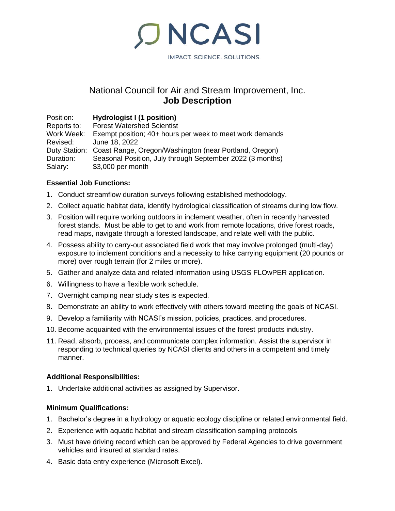IMPACT. SCIENCE. SOLUTIONS.

# National Council for Air and Stream Improvement, Inc. **Job Description**

**ONCASI** 

Position: **Hydrologist I (1 position) Forest Watershed Scientist** Work Week: Exempt position; 40+ hours per week to meet work demands Revised: June 18, 2022 Duty Station: Coast Range, Oregon/Washington (near Portland, Oregon) Duration: Seasonal Position, July through September 2022 (3 months) Salary: \$3,000 per month

### **Essential Job Functions:**

- 1. Conduct streamflow duration surveys following established methodology.
- 2. Collect aquatic habitat data, identify hydrological classification of streams during low flow.
- 3. Position will require working outdoors in inclement weather, often in recently harvested forest stands. Must be able to get to and work from remote locations, drive forest roads, read maps, navigate through a forested landscape, and relate well with the public.
- 4. Possess ability to carry-out associated field work that may involve prolonged (multi-day) exposure to inclement conditions and a necessity to hike carrying equipment (20 pounds or more) over rough terrain (for 2 miles or more).
- 5. Gather and analyze data and related information using USGS FLOwPER application.
- 6. Willingness to have a flexible work schedule.
- 7. Overnight camping near study sites is expected.
- 8. Demonstrate an ability to work effectively with others toward meeting the goals of NCASI.
- 9. Develop a familiarity with NCASI's mission, policies, practices, and procedures.
- 10. Become acquainted with the environmental issues of the forest products industry.
- 11. Read, absorb, process, and communicate complex information. Assist the supervisor in responding to technical queries by NCASI clients and others in a competent and timely manner.

### **Additional Responsibilities:**

1. Undertake additional activities as assigned by Supervisor.

### **Minimum Qualifications:**

- 1. Bachelor's degree in a hydrology or aquatic ecology discipline or related environmental field.
- 2. Experience with aquatic habitat and stream classification sampling protocols
- 3. Must have driving record which can be approved by Federal Agencies to drive government vehicles and insured at standard rates.
- 4. Basic data entry experience (Microsoft Excel).